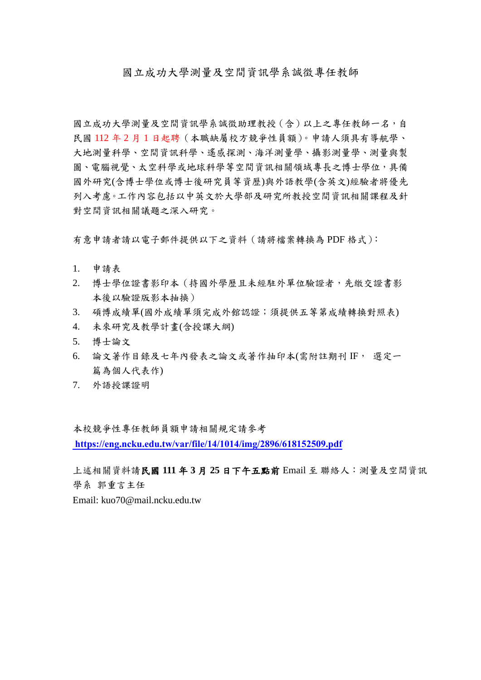國立成功大學測量及空間資訊學系誠徵專任教師

國立成功大學測量及空間資訊學系誠徵助理教授(含)以上之專任教師一名,自 民國 112 年 2 月 1 日起聘(本職缺屬校方競爭性員額)。申請人須具有導航學、 大地測量科學、空間資訊科學、遙感探測、海洋測量學、攝影測量學、測量與製 圖、電腦視覺、太空科學或地球科學等空間資訊相關領域專長之博士學位,具備 國外研究(含博士學位或博士後研究員等資歷)與外語教學(含英文)經驗者將優先 列入考慮。工作內容包括以中英文於大學部及研究所教授空間資訊相關課程及針 對空間資訊相關議題之深入研究。

有意申請者請以電子郵件提供以下之資料(請將檔案轉換為 PDF 格式):

- 1. 申請表
- 2. 博士學位證書影印本(持國外學歷且未經駐外單位驗證者,先繳交證書影 本後以驗證版影本抽換)
- 3. 碩博成績單(國外成績單須完成外館認證;須提供五等第成績轉換對照表)
- 4. 未來研究及教學計畫(含授課大綱)
- 5. 博士論文
- 6. 論文著作目錄及七年內發表之論文或著作抽印本(需附註期刊 IF, 選定一 篇為個人代表作)
- 7. 外語授課證明

本校競爭性專任教師員額申請相關規定請參考  **[https://eng.ncku.edu.tw/var/file/14/1014/img/2896/618152509.p](https://acad.ncku.edu.tw/var/file/25/1025/img/3261/643494542.pdf)[df](https://eng.ncku.edu.tw/var/file/14/1014/img/2896/618152509.pdf)**

上述相關資料請民國 **111** 年 **3** 月 **25** 日下午五點前 Email 至 聯絡人:測量及空間資訊 學系 郭重言主任

Email: kuo70@mail.ncku.edu.tw